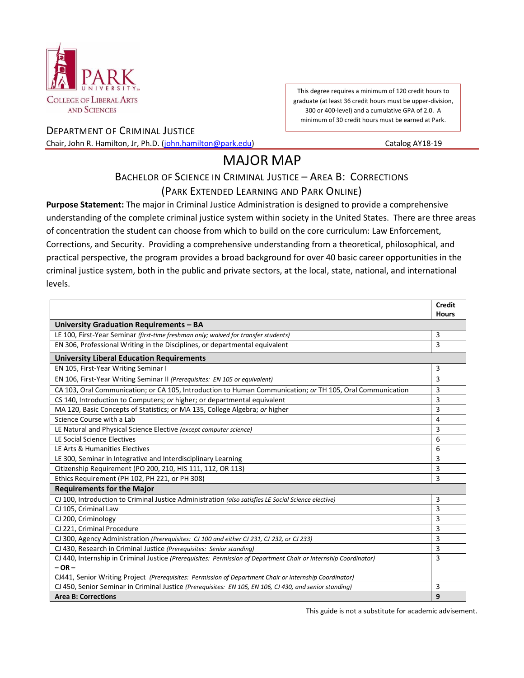

This degree requires a minimum of 120 credit hours to graduate (at least 36 credit hours must be upper-division, 300 or 400-level) and a cumulative GPA of 2.0. A minimum of 30 credit hours must be earned at Park.

DEPARTMENT OF CRIMINAL JUSTICE Chair, John R. Hamilton, Jr, Ph.D. [\(john.hamilton@park.edu\)](mailto:john.hamilton@park.edu) Catalog AY18-19

## MAJOR MAP

## BACHELOR OF SCIENCE IN CRIMINAL JUSTICE – AREA B: CORRECTIONS

## (PARK EXTENDED LEARNING AND PARK ONLINE)

**Purpose Statement:** The major in Criminal Justice Administration is designed to provide a comprehensive understanding of the complete criminal justice system within society in the United States. There are three areas of concentration the student can choose from which to build on the core curriculum: Law Enforcement, Corrections, and Security. Providing a comprehensive understanding from a theoretical, philosophical, and practical perspective, the program provides a broad background for over 40 basic career opportunities in the criminal justice system, both in the public and private sectors, at the local, state, national, and international levels.

|                                                                                                                  | <b>Credit</b>  |
|------------------------------------------------------------------------------------------------------------------|----------------|
|                                                                                                                  | <b>Hours</b>   |
| University Graduation Requirements - BA                                                                          |                |
| LE 100, First-Year Seminar (first-time freshman only; waived for transfer students)                              | 3              |
| EN 306, Professional Writing in the Disciplines, or departmental equivalent                                      | 3              |
| <b>University Liberal Education Requirements</b>                                                                 |                |
| EN 105, First-Year Writing Seminar I                                                                             | 3              |
| EN 106, First-Year Writing Seminar II (Prerequisites: EN 105 or equivalent)                                      | 3              |
| CA 103, Oral Communication; or CA 105, Introduction to Human Communication; or TH 105, Oral Communication        | 3              |
| CS 140, Introduction to Computers; or higher; or departmental equivalent                                         | 3              |
| MA 120, Basic Concepts of Statistics; or MA 135, College Algebra; or higher                                      | 3              |
| Science Course with a Lab                                                                                        | $\overline{a}$ |
| LE Natural and Physical Science Elective (except computer science)                                               | 3              |
| LE Social Science Electives                                                                                      | 6              |
| LE Arts & Humanities Electives                                                                                   |                |
| LE 300, Seminar in Integrative and Interdisciplinary Learning                                                    | 3              |
| Citizenship Requirement (PO 200, 210, HIS 111, 112, OR 113)                                                      | 3              |
| Ethics Requirement (PH 102, PH 221, or PH 308)                                                                   | 3              |
| <b>Requirements for the Major</b>                                                                                |                |
| CJ 100, Introduction to Criminal Justice Administration (also satisfies LE Social Science elective)              | 3              |
| CJ 105, Criminal Law                                                                                             | 3              |
| CJ 200, Criminology                                                                                              | 3              |
| CJ 221, Criminal Procedure                                                                                       | 3              |
| CJ 300, Agency Administration (Prerequisites: CJ 100 and either CJ 231, CJ 232, or CJ 233)                       | 3              |
| CJ 430, Research in Criminal Justice (Prerequisites: Senior standing)                                            | 3              |
| CJ 440, Internship in Criminal Justice (Prerequisites: Permission of Department Chair or Internship Coordinator) | 3              |
| $-$ OR $-$                                                                                                       |                |
| CJ441, Senior Writing Project (Prerequisites: Permission of Department Chair or Internship Coordinator)          |                |
| CJ 450, Senior Seminar in Criminal Justice (Prerequisites: EN 105, EN 106, CJ 430, and senior standing)          | 3              |
| <b>Area B: Corrections</b>                                                                                       | 9              |

This guide is not a substitute for academic advisement.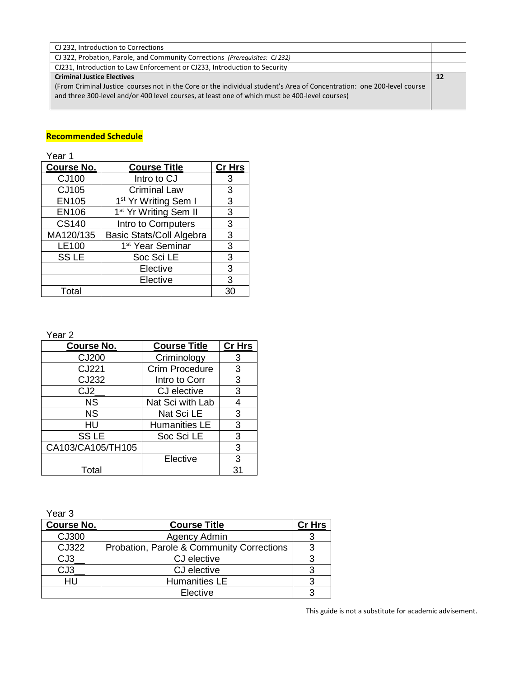| CJ 232, Introduction to Corrections                                                                                    |    |
|------------------------------------------------------------------------------------------------------------------------|----|
| CJ 322, Probation, Parole, and Community Corrections (Prerequisites: CJ 232)                                           |    |
| CJ231, Introduction to Law Enforcement or CJ233, Introduction to Security                                              |    |
| <b>Criminal Justice Electives</b>                                                                                      | 12 |
| (From Criminal Justice courses not in the Core or the individual student's Area of Concentration: one 200-level course |    |
| and three 300-level and/or 400 level courses, at least one of which must be 400-level courses)                         |    |
|                                                                                                                        |    |

## **Recommended Schedule**

Year 1

| <b>Course No.</b> | <b>Course Title</b>               | <b>Cr Hrs</b> |
|-------------------|-----------------------------------|---------------|
| CJ100             | Intro to CJ                       | 3             |
| CJ105             | <b>Criminal Law</b>               | 3             |
| <b>EN105</b>      | 1 <sup>st</sup> Yr Writing Sem I  | 3             |
| <b>EN106</b>      | 1 <sup>st</sup> Yr Writing Sem II | 3             |
| <b>CS140</b>      | Intro to Computers                | 3             |
| MA120/135         | <b>Basic Stats/Coll Algebra</b>   | 3             |
| LE100             | 1 <sup>st</sup> Year Seminar      | 3             |
| <b>SSLE</b>       | Soc Sci LE                        | 3             |
|                   | Elective                          | 3             |
|                   | Elective                          | 3             |
| Total             |                                   | 30            |

Year 2

| <b>Course No.</b> | <b>Course Title</b>  | <b>Cr Hrs</b> |
|-------------------|----------------------|---------------|
| CJ200             | Criminology          | 3             |
| CJ221             | Crim Procedure       | 3             |
| CJ232             | Intro to Corr        | 3             |
| CJ2               | CJ elective          | 3             |
| <b>NS</b>         | Nat Sci with Lab     | 4             |
| <b>NS</b>         | Nat Sci LE           | 3             |
| HU                | <b>Humanities LE</b> | 3             |
| <b>SSLE</b>       | Soc Sci LE           | 3             |
| CA103/CA105/TH105 |                      | 3             |
|                   | Elective             | 3             |
| Total             |                      | 31            |

Year 3

| ט וששו            |                                           |               |
|-------------------|-------------------------------------------|---------------|
| <b>Course No.</b> | <b>Course Title</b>                       | <b>Cr Hrs</b> |
| CJ300             | Agency Admin                              |               |
| CJ322             | Probation, Parole & Community Corrections |               |
| CJ <sub>3</sub>   | CJ elective                               |               |
| CJ <sub>3</sub>   | CJ elective                               |               |
| нu                | <b>Humanities LE</b>                      |               |
|                   | Elective                                  |               |

This guide is not a substitute for academic advisement.